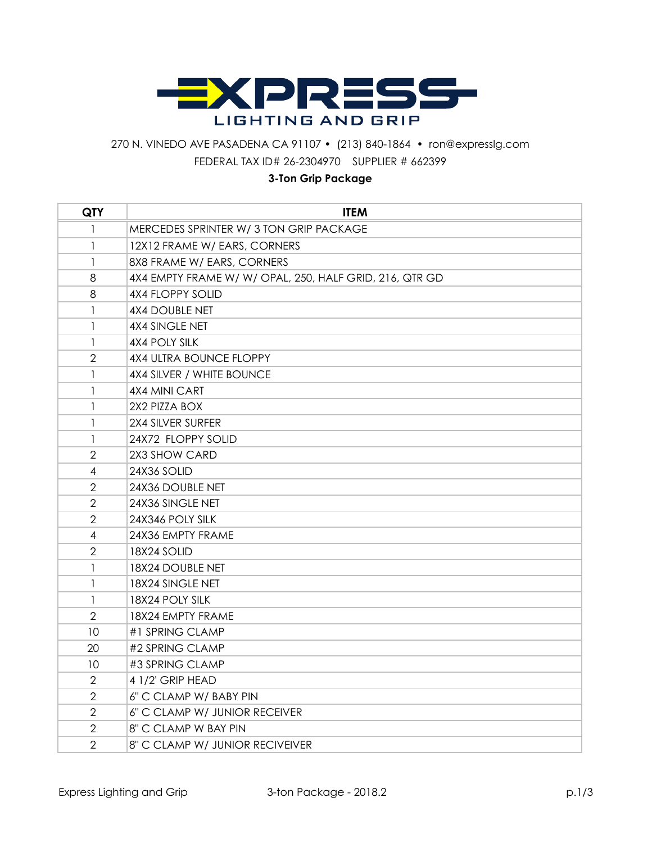

## 270 N. VINEDO AVE PASADENA CA 91107 • (213) 840-1864 • ron@expresslg.com FEDERAL TAX ID# 26-2304970 SUPPLIER # 662399

## **3-Ton Grip Package**

| <b>QTY</b>     | <b>ITEM</b>                                             |
|----------------|---------------------------------------------------------|
| 1              | MERCEDES SPRINTER W/ 3 TON GRIP PACKAGE                 |
| 1              | 12X12 FRAME W/ EARS, CORNERS                            |
| 1              | 8X8 FRAME W/ EARS, CORNERS                              |
| 8              | 4X4 EMPTY FRAME W/ W/ OPAL, 250, HALF GRID, 216, QTR GD |
| 8              | <b>4X4 FLOPPY SOLID</b>                                 |
| 1              | 4X4 DOUBLE NET                                          |
| 1              | 4X4 SINGLE NET                                          |
| 1              | 4X4 POLY SILK                                           |
| $\overline{2}$ | <b>4X4 ULTRA BOUNCE FLOPPY</b>                          |
| 1              | 4X4 SILVER / WHITE BOUNCE                               |
| 1              | 4X4 MINI CART                                           |
| 1              | 2X2 PIZZA BOX                                           |
| 1              | 2X4 SILVER SURFER                                       |
| 1              | 24X72 FLOPPY SOLID                                      |
| 2              | 2X3 SHOW CARD                                           |
| 4              | 24X36 SOLID                                             |
| $\overline{2}$ | 24X36 DOUBLE NET                                        |
| $\overline{2}$ | 24X36 SINGLE NET                                        |
| 2              | 24X346 POLY SILK                                        |
| 4              | 24X36 EMPTY FRAME                                       |
| $\overline{2}$ | 18X24 SOLID                                             |
| 1              | 18X24 DOUBLE NET                                        |
| 1              | 18X24 SINGLE NET                                        |
| 1              | 18X24 POLY SILK                                         |
| $\overline{2}$ | 18X24 EMPTY FRAME                                       |
| 10             | #1 SPRING CLAMP                                         |
| 20             | #2 SPRING CLAMP                                         |
| 10             | #3 SPRING CLAMP                                         |
| $\overline{2}$ | 4 1/2' GRIP HEAD                                        |
| $\mathbf{2}$   | 6" C CLAMP W/ BABY PIN                                  |
| $\overline{2}$ | 6" C CLAMP W/ JUNIOR RECEIVER                           |
| $\mathbf{2}$   | 8" C CLAMP W BAY PIN                                    |
| $\overline{2}$ | 8" C CLAMP W/ JUNIOR RECIVEIVER                         |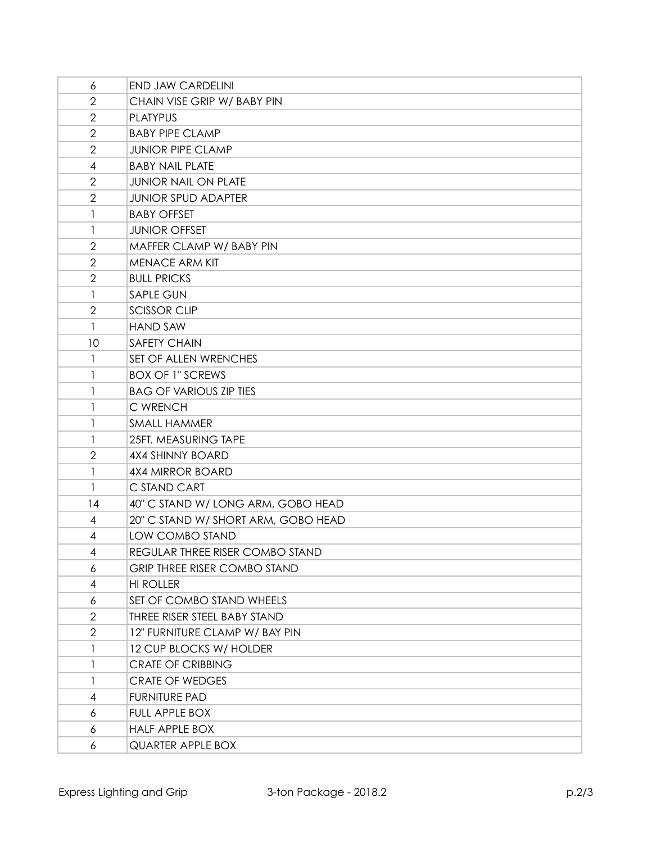| 6                        | <b>END JAW CARDELINI</b>            |
|--------------------------|-------------------------------------|
| $\overline{2}$           | CHAIN VISE GRIP W/ BABY PIN         |
| $\mathbf{2}$             | <b>PLATYPUS</b>                     |
| $\overline{2}$           | <b>BABY PIPE CLAMP</b>              |
| $\overline{2}$           | <b>JUNIOR PIPE CLAMP</b>            |
| $\overline{4}$           | <b>BABY NAIL PLATE</b>              |
| $\overline{2}$           | <b>JUNIOR NAIL ON PLATE</b>         |
| $\overline{2}$           | <b>JUNIOR SPUD ADAPTER</b>          |
| 1                        | <b>BABY OFFSET</b>                  |
| 1                        | <b>JUNIOR OFFSET</b>                |
| $\overline{2}$           | MAFFER CLAMP W/ BABY PIN            |
| $\overline{2}$           | <b>MENACE ARM KIT</b>               |
| $\overline{2}$           | <b>BULL PRICKS</b>                  |
| 1                        | <b>SAPLE GUN</b>                    |
| $\overline{2}$           | <b>SCISSOR CLIP</b>                 |
| $\mathbf{1}$             | <b>HAND SAW</b>                     |
| 10                       | <b>SAFETY CHAIN</b>                 |
| 1                        | SET OF ALLEN WRENCHES               |
| $\mathbf{1}$             | <b>BOX OF 1" SCREWS</b>             |
| 1                        | <b>BAG OF VARIOUS ZIP TIES</b>      |
| 1                        | C WRENCH                            |
| 1                        | <b>SMALL HAMMER</b>                 |
| $\mathbf{1}$             | 25FT. MEASURING TAPE                |
| $\overline{2}$           | 4X4 SHINNY BOARD                    |
| 1                        | <b>4X4 MIRROR BOARD</b>             |
| 1                        | C STAND CART                        |
| 14                       | 40" C STAND W/ LONG ARM, GOBO HEAD  |
| 4                        | 20" C STAND W/ SHORT ARM, GOBO HEAD |
| $\overline{4}$           | LOW COMBO STAND                     |
| 4                        | REGULAR THREE RISER COMBO STAND     |
| 6                        | <b>GRIP THREE RISER COMBO STAND</b> |
| 4                        | <b>HI ROLLER</b>                    |
| 6                        | SET OF COMBO STAND WHEELS           |
| 2                        | THREE RISER STEEL BABY STAND        |
| $\overline{2}$           | 12" FURNITURE CLAMP W/ BAY PIN      |
| 1                        | 12 CUP BLOCKS W/ HOLDER             |
| 1                        | <b>CRATE OF CRIBBING</b>            |
| 1                        | <b>CRATE OF WEDGES</b>              |
| $\overline{\mathcal{A}}$ | <b>FURNITURE PAD</b>                |
| 6                        | FULL APPLE BOX                      |
| 6                        | <b>HALF APPLE BOX</b>               |
| 6                        | QUARTER APPLE BOX                   |